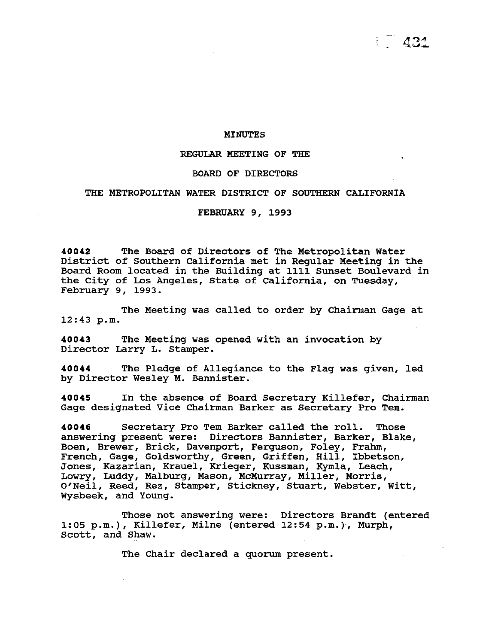#### MINUTES

### REGULAR MEETING OF THE

#### BOARD OF DIRECTORS

## THE METROPOLITAN WATER DISTRICT OF SOUTHERN CALIFORNIA

FEBRUARY 9, 1993

**40042** The Board of Directors of The Metropolitan Water District of Southern California met *in* Regular Meeting *in* the Board Room located in the Building at 1111 Sunset Boulevard in the City of Los Angeles, State of California, on Tuesday, February 9, 1993.

The Meeting was called to order by Chairman Gage at 12:43 p.m.

**40043** The Meeting was opened with an invocation by Director Larry L. Stamper.

**40044** The Pledge of Allegiance to the Flag was given, led by Director Wesley M. Bannister.

**40045** In the absence of Board Secretary Killefer, Chairman Gage designated Vice Chairman Barker as Secretary Pro Tem.

**40046** Secretary Pro Tem Barker called the roll. Those answering present were: Directors Bannister, Barker, Blake, Boen, Brewer, Brick, Davenport, Ferguson, Foley, Frahm, French, Gage, Goldsworthy, Green, Griffen, *Hill,* Ibbetson, Jones, Kazarian, Krauel, Krieger, Kussman, Kymla, Leach, Lowry, Luddy, Malburg, Mason, McMurray, Miller, Morris, O'Neil, Reed, Rez, Stamper, Stickney, Stuart, Webster, Witt, Wysbeek, and Young.

Those not answering were: Directors Brandt (entered 1:05 p.m.), Killefer, Milne (entered 12:54 p.m.), Murph, Scott, and Shaw.

The Chair declared a quorum present.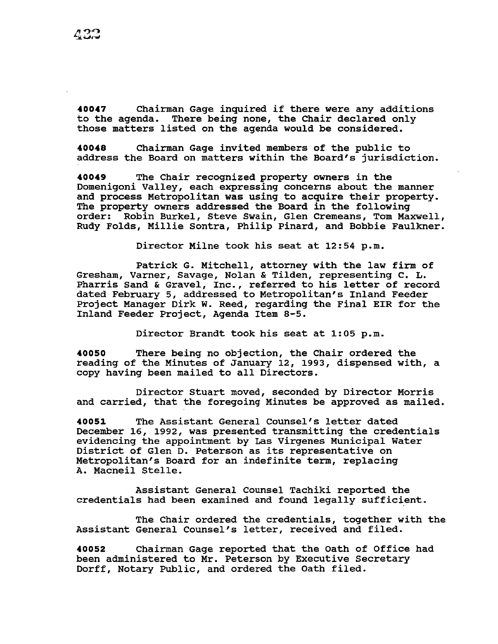40047 Chairman Gage inquired if there were any additions<br>to the agenda. There being none, the Chair declared only There being none, the Chair declared only those matters listed on the agenda would be considered.

**40048** Chairman Gage invited members of the public to address the Board on matters within the Board's jurisdiction.

**40049** The Chair recognized property owners in the Domenigoni Valley, each expressing concerns about the manner and process Metropolitan was using to acquire their property. The property owners addressed the Board in the following order: Robin Burkel, steve Swain, Glen Cremeans, Tom Maxwell, Rudy Folds, Millie Sontra, Philip Pinard, and Bobbie Faulkner.

Director Milne took his seat at 12:54 p.m.

Patrick G. Mitchell, attorney with the law firm of Gresham, Varner, Savage, Nolan & Tilden, representing c. L. Pharris Sand & Gravel, Inc., referred to his letter of record dated February 5, addressed to Metropolitan's Inland Feeder Project Manager Dirk w. Reed, regarding the Final EIR for the Inland Feeder Project, Agenda Item 8-5.

Director Brandt took his seat at 1:05 p.m.

**40050** There being no objection, the Chair ordered the reading of the Minutes of January 12, 1993, dispensed with, a copy having been mailed to all Directors.

Director Stuart moved, seconded by Director Morris and carried, that the foregoing Minutes be approved as mailed.

**<sup>40051</sup>**The Assistant General Counsel's letter dated December 16, 1992, was presented transmitting the credentials evidencing the appointment by Las Virgenes Municipal Water District of Glen D. Peterson as its representative on Metropolitan's Board for an indefinite term, replacing A. Macneil Stelle.

Assistant General Counsel Tachiki reported the credentials had been examined and found legally sufficient.

The Chair ordered the credentials, together with the Assistant General Counsel's letter, received and filed.

**40052** Chairman Gage reported that the oath of Office had been administered to Mr. Peterson by Executive Secretary Dorff, Notary Public, and ordered the Oath filed.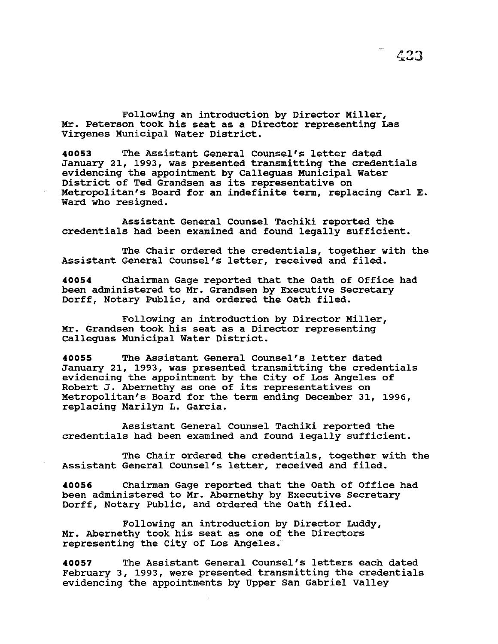$\mathcal{L}23$ 

Following an introduction by Director Miller, Mr. Peterson took his seat as a Director representing Las Virgenes Municipal Water District.

**<sup>40053</sup>**The Assistant General Counsel's letter dated January 21, 1993, was presented transmitting the credentials evidencing the appointment by Calleguas Municipal water District of Ted Grandsen as its representative on Metropolitan's Board for an indefinite term, replacing Carl E. Ward who resigned.

Assistant General Counsel Tachiki reported the credentials had been examined and found legally sufficient.

The Chair ordered the credentials, together with the Assistant General Counsel's letter, received and filed.

**40054** Chairman Gage reported that the Oath of Office had been administered to Mr. Grandsen by Executive Secretary Dorff, Notary Public, and ordered the oath filed.

Following an introduction by Director Miller, Mr. Grandsen took his seat as a Director representing Calleguas Municipal Water District.

**40055** The Assistant General Counsel's letter dated January 21, 1993, was presented transmitting the credentials evidencing the appointment by the City of Los Angeles of Robert J. Abernethy as one of its representatives on Metropolitan's Board for the term ending December 31, 1996, replacing Marilyn L. Garcia.

Assistant General counsel Tachiki reported the credentials had been examined and found legally sufficient.

The Chair ordered the credentials, together with the Assistant General Counsel's letter, received and filed.

**40056** Chairman Gage reported that the Oath of Office had been administered to Mr. Abernethy by Executive Secretary Dorff, Notary Public, and ordered the oath filed.

Following an introduction by Director Luddy, Mr. Abernethy took his seat as one of the Directors representing the city of Los Angeles.

**40057** The Assistant General Counsel's letters each dated February 3, 1993, were presented transmitting the credentials evidencing the appointments by Upper San Gabriel Valley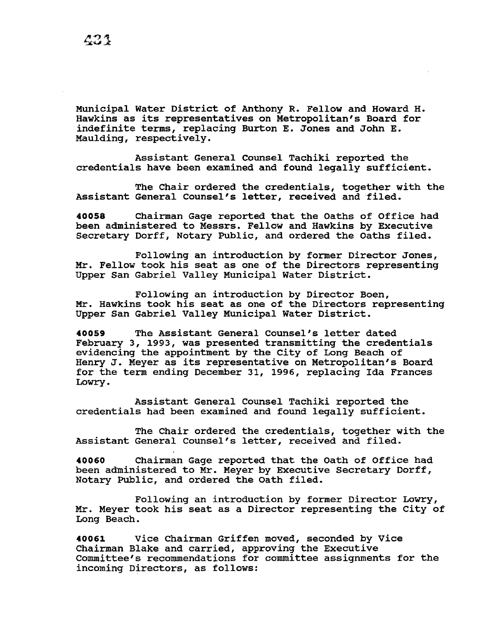Municipal Water District of Anthony R. Fellow and Howard H. Hawkins as its representatives on Metropolitan's Board for indefinite terms, replacing Burton E. Jones and John E. Maulding, respectively.

Assistant General Counsel Tachiki reported the credentials have been examined and found legally sufficient.

The Chair ordered the credentials, together with the Assistant General Counsel's letter, received and filed.

**40058** Chairman Gage reported that the Oaths of Office had been administered to Messrs. Fellow and Hawkins by Executive Secretary Dorff, Notary Public, and ordered the oaths filed.

Following an introduction by former Director Jones, Mr. Fellow took his seat as one of the Directors representing Upper San Gabriel Valley Municipal Water District.

Following an introduction by Director Boen, Mr. Hawkins took his seat as one of the Directors representing Upper San Gabriel Valley Municipal water District.

**<sup>40059</sup>**The Assistant General Counsel's letter dated February 3, 1993, was presented transmitting the credentials evidencing the appointment by the City of Long Beach of Henry J. Meyer as its representative on Metropolitan's Board for the term ending December 31, 1996, replacing Ida Frances Lowry.

Assistant General counsel Tachiki reported the credentials had been examined and found legally sufficient.

The Chair ordered the credentials, together with the Assistant General Counsel's letter, received and filed.

**40060** Chairman Gage reported that the Oath of Office had been administered to Mr. Meyer by Executive Secretary Dorff, Notary Public, and ordered the Oath filed.

Following an introduction by former Director Lowry, Mr. Meyer took his seat as a Director representing the City of Long Beach.

**40061** Vice Chairman Griffen moved, seconded by Vice Chairman Blake and carried, approving the Executive Committee's recommendations for committee assignments for the incoming Directors, as follows: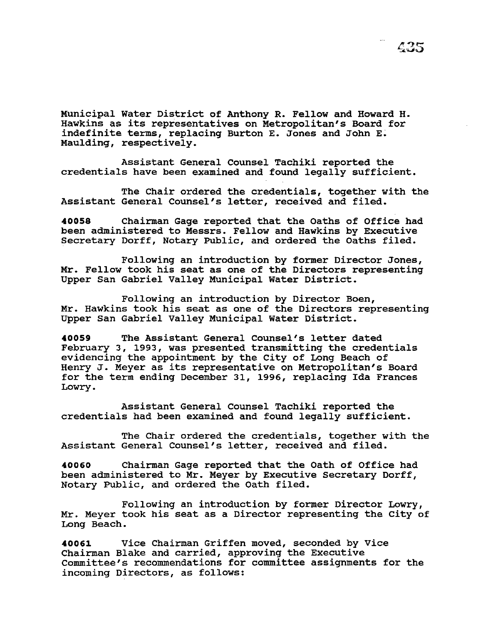Municipal water District of Anthony R. Fellow and Howard H. Hawkins as its representatives on Metropolitan's Board for indefinite terms, replacing Burton E. Jones and John E. Maulding, respectively.

Assistant General Counsel Tachiki reported the credentials have been examined and found legally sufficient.

The Chair ordered the credentials, together with the Assistant General Counsel's letter, received and filed.

**40058** Chairman Gage reported that the Oaths of Office had been administered to Messrs. Fellow and Hawkins by Executive Secretary Dorff, Notary Public, and ordered the Oaths filed.

Following an introduction by former Director Jones, Mr. Fellow took his seat as one of the Directors representing Upper San Gabriel Valley Municipal Water District.

Following an introduction by Director Boen, Mr. Hawkins took his seat as one of the Directors representing Upper san Gabriel Valley Municipal Water District.

**<sup>40059</sup>**The Assistant General counsel's letter dated February 3, 1993, was presented transmitting the credentials evidencing the appointment by the City of Long Beach of Henry J. Meyer as its representative on Metropolitan's Board for the term ending December 31, 1996, replacing Ida Frances Lowry.

Assistant General Counsel Tachiki reported the credentials had been examined and found legally sufficient.

The Chair ordered the credentials, together with the Assistant General Counsel's letter, received and filed.

**40060** Chairman Gage reported that the Oath of Office had been administered to Mr. Meyer by Executive Secretary Dorff, Notary Public, and ordered the Oath filed.

Following an introduction by former Director Lowry, Mr. Meyer took his seat as a Director representing the City of Long Beach.

**40061** Vice Chairman Griffen moved, seconded by Vice Chairman Blake and carried, approving the Executive Committee's recommendations for committee assignments for the incoming Directors, as follows: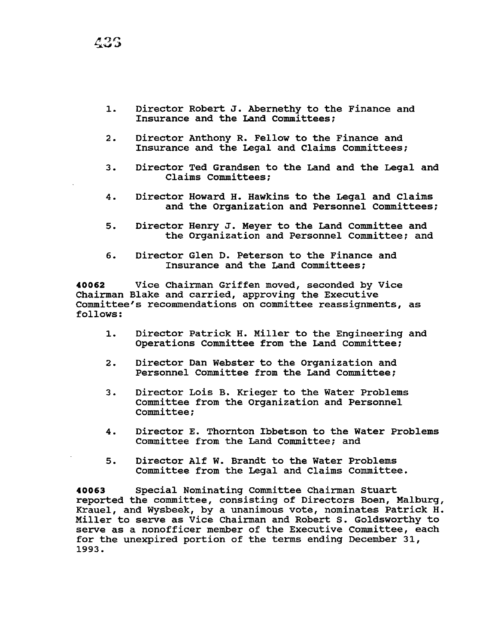1. Director Robert J. Abernethy to the Finance and Insurance and the Land Committees;

- 2. Director Anthony R. Fellow to the Finance and Insurance and the Legal and Claims Committees;
- 3. Director Ted Grandsen to the Land and the Legal and Claims Committees:
- 4. Director Howard H. Hawkins to the Legal and Claims and the Organization and Personnel Committees;
- 5. Director Henry J. Meyer to the Land Committee and the Organization and Personnel Committee; and
- 6. Director Glen D. Peterson to the Finance and Insurance and the Land Committees;

**40062** Vice Chairman Griffen moved, seconded by Vice Chairman Blake and carried, approving the Executive Committee's recommendations on committee reassignments, as follows:

- 1. Director Patrick H. Miller to the Engineering and Operations Committee from the Land Committee;
- 2. Director Dan Webster to the Organization and Personnel Committee from the Land Committee;
- 3. Director Lois B. Krieger to the Water Problems Committee from the Organization and Personnel Committee;
- 4. Director E. Thornton Ibbetson to the Water Problems Committee from the Land Committee; and
- 5. Director Alf W. Brandt to the Water Problems Committee from the Legal and Claims committee.

**40063** Special Nominating Committee Chairman Stuart reported the committee, consisting of Directors Been, Malburg, Krauel, and Wysbeek, by a unanimous vote, nominates Patrick H. Miller to serve as Vice Chairman and Robert s. Goldsworthy to serve as a nonofficer member of the Executive Committee, each for the unexpired portion of the terms ending December 31, 1993.

436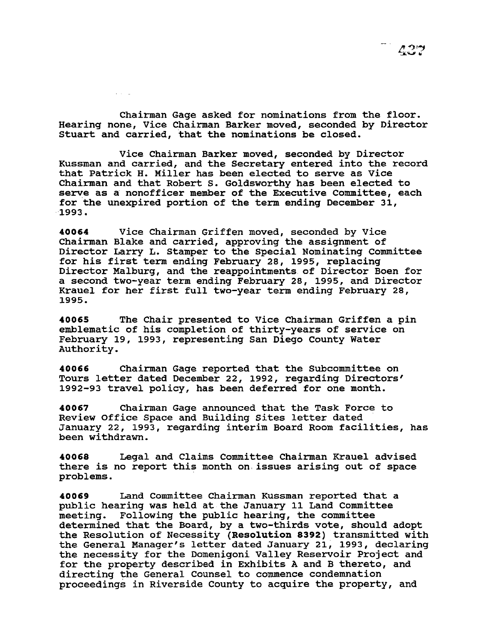Chairman Gage asked for nominations from the floor. Hearing none, Vice Chairman Barker moved, seconded by Director Stuart and carried, that the nominations be closed.

 $\mathcal{L}(\mathcal{L})$  ,  $\mathcal{L}$ 

Vice Chairman Barker moved, seconded by Director Kussman and carried, and the Secretary entered into the record that Patrick H. Miller has been elected to serve as Vice Chairman and that Robert s. Goldsworthy has been elected to serve as a nonofficer member of the Executive Committee, each for the unexpired portion of the term ending December 31, 1993.

**40064** Vice Chairman Griffen moved, seconded by Vice Chairman Blake and carried, approving the assignment of Director Larry L. stamper to the Special Nominating Committee for his first term ending February 28, 1995, replacing Director Malburg, and the reappointments of Director Boen for a second two-year term ending February 28, 1995, and Director Krauel for her first full two-year term ending February 28, 1995.

**40065** The Chair presented to Vice Chairman Griffen a pin emblematic of his completion of thirty-years of service on February 19, 1993, representing San Diego County Water Authority.

**40066** Chairman Gage reported that the Subcommittee on Tours letter dated December 22, 1992, regarding Directors' 1992-93 travel policy, has been deferred for one month.

**40067** Chairman Gage announced that the Task Force to January 22, 1993, regarding interim Board Room facilities, has been withdrawn.

**40068** Legal and Claims Committee Chairman Krauel advised there is no report this month on issues arising out of space problems.

**40069** Land Committee Chairman Kussman reported that a public hearing was held at the January 11 Land Committee meeting. Following the public hearing, the committee determined that the Board, by a two-thirds vote, should adopt the Resolution of Necessity **(Resolution 8392)** transmitted with the General Manager's letter dated January 21, 1993, declaring the necessity for the Domenigoni Valley Reservoir Project and for the property described in Exhibits A and B thereto, and directing the General Counsel to commence condemnation proceedings in Riverside County to acquire the property, and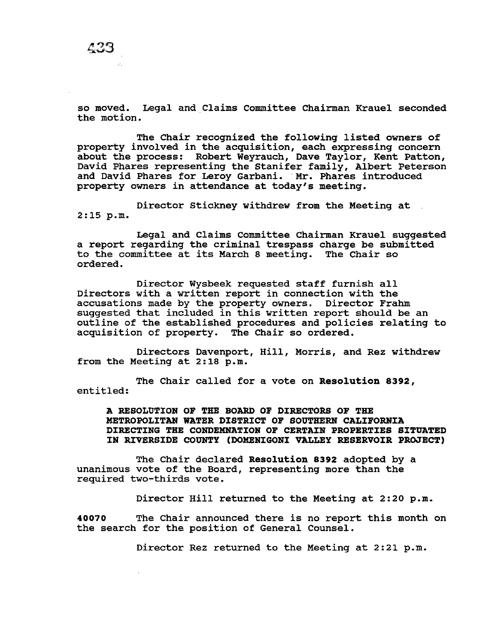so moved. Legal and Claims Committee Chairman Krauel seconded the motion.

The Chair recognized the following listed owners of property involved in the acquisition, each expressing concern about the process: Robert Weyrauch, Dave Taylor, Kent Patton, David Phares representing the Stanifer family, Albert Peterson and David Phares for Leroy Garbani. Mr. Phares introduced property owners in attendance at today's meeting.

Director Stickney withdrew from the Meeting at 2:15 p.m.

Legal and Claims Committee Chairman Krauel suggested a report regarding the criminal trespass charge be submitted to the committee at its March 8 meeting. The Chair so ordered.

Director Wysbeek requested staff furnish all Directors with a written report in connection with the accusations made by the property owners. Director Frahm suggested that included in this written report should be an outline of the established procedures and policies relating to acquisition of property. The Chair so ordered.

Directors Davenport, Hill, Morris, and Rez withdrew from the Meeting at 2:18 p.m.

The Chair called for a vote on Resolution 8392, entitled:

A RESOLUTION OF THE BOARD OF DIRECTORS OF THE METROPOLITAN WATER DISTRICT OF SOUTHERN CALIFORNIA DIRECTING THE CONDEMNATION OF CERTAIN PROPERTIES SITUATED IN RIVERSIDE COUNTY (DOMENIGONI VALLEY RESERVOIR PROJECT)

The Chair declared Resolution 8392 adopted by a unanimous vote of the Board, representing more than the required two-thirds vote.

Director Hill returned to the Meeting at 2:20 p.m.

40070 The Chair announced there is no report this month on the search for the position of General Counsel.

Director Rez returned to the Meeting at 2:21 p.m.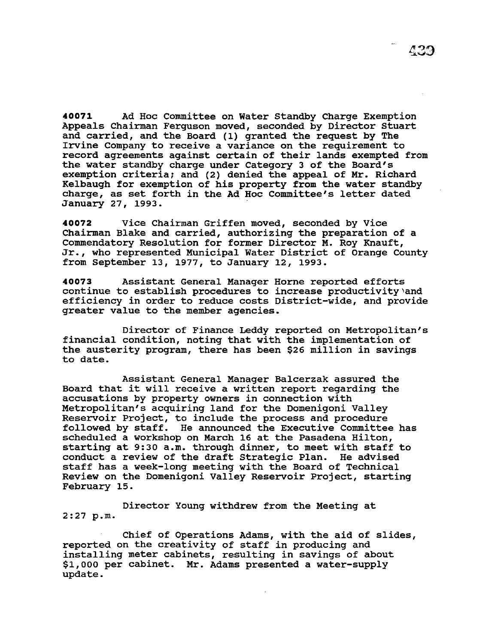**40071** Ad Hoc Committee on Water Standby Charge Exemption Appeals Chairman Ferguson moved, seconded by Director Stuart and carried, and the Board (1) granted the request by The Irvine Company to receive a variance on the requirement to record agreements against certain of their lands exempted from the water standby charge under Category 3 of the Board's exemption criteria; and (2) denied the appeal of Mr. Richard Kelbaugh for exemption of his property from the water standby charge, as set forth in the Ad Hoc Committee's letter dated January 27, 1993.

**40072** Vice Chairman Griffen moved, seconded by Vice Chairman Blake and carried, authorizing the preparation of a commendatory Resolution for former Director M. Roy Knauft, Jr., who represented Municipal Water District of Orange County from September 13, 1977, to January 12, 1993.

**40073** Assistant General Manager Horne reported efforts continue to establish procedures to increase productivity'and efficiency in order to reduce costs District-wide, and provide greater value to the member agencies.

Director of Finance Leddy reported on Metropolitan's financial condition, noting that with the implementation of the austerity program, there has been \$26 million in savings to date.

Assistant General Manager Balcerzak assured the Board that it will receive a written report regarding the accusations by property owners in connection with Metropolitan's acquiring land for the Domenigoni Valley Reservoir Project, to include the process and procedure followed by staff. He announced the Executive Committee has scheduled a workshop on March 16 at the Pasadena Hilton, starting at 9:30 a.m. through dinner, to meet with staff to conduct a review of the draft Strategic Plan. He advised staff has a week-long meeting with the Board of Technical Review on the Domenigoni Valley Reservoir Project, starting February 15.

Director Young withdrew from the Meeting at 2:27 p.m.

Chief of Operations Adams, with the aid of slides, reported on the creativity of staff in producing and installing meter cabinets, resulting in savings of about \$1,000 per cabinet. Mr. Adams presented a water-supply update.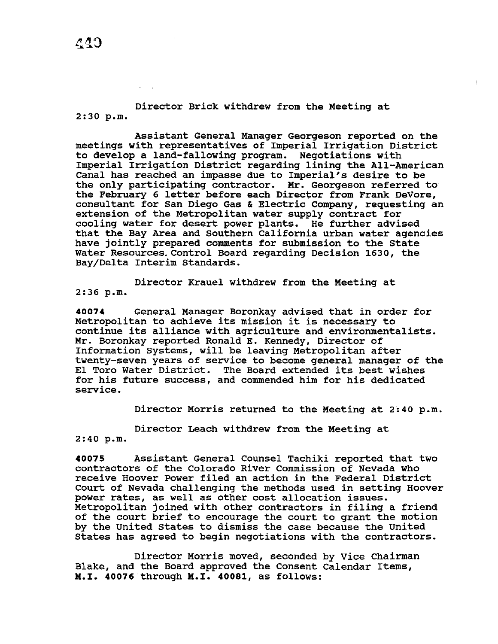Director Brick withdrew from the Meeting at 2:30 p.m.

Assistant General Manager Georgeson reported on the meetings with representatives of Imperial Irrigation District to develop a land-fallowing program. Negotiations with Imperial Irrigation District regarding lining the All-American Canal has reached an impasse due to Imperial's desire to be the only participating contractor. Mr. Georgeson referred to the February 6 letter before each Director from Frank DeVore, consultant for San Diego Gas & Electric Company, requesting an extension of the Metropolitan water supply contract for cooling water for desert power plants. He further advised that the Bay Area and Southern California urban water agencies have jointly prepared comments for submission to the State Water Resources.Control Board regarding Decision 1630, the Bay/Delta Interim Standards.

Director Krauel withdrew from the Meeting at 2:36 p.m.

**40074** General Manager Boronkay advised that *in* order for Metropolitan to achieve its mission it is necessary to continue its alliance with agriculture and environmentalists. Mr. Boronkay reported Ronald E. Kennedy, Director of Information systems, will be leaving Metropolitan after twenty-seven years of service to become general manager of the El Toro Water District. The Board extended its best wishes for his future success, and commended him for his dedicated service.

Director Morris returned to the Meeting at 2:40 p.m.

Director Leach withdrew from the Meeting at

2:40 p.m.

**40075** Assistant General Counsel Tachiki reported that two contractors of the Colorado River Commission of Nevada who receive Hoover Power filed an action *in* the Federal District Court of Nevada challenging the methods used in setting Hoover power rates, as well as other cost allocation issues. Metropolitan joined with other contractors in filing a friend of the court brief to encourage the court to grant the motion by the United States to dismiss the case because the United States has agreed to begin negotiations with the contractors.

Director Morris moved, seconded by Vice Chairman Blake, and the Board approved the Consent Calendar Items, M.I. **40076** through M.I. **40081,** as follows: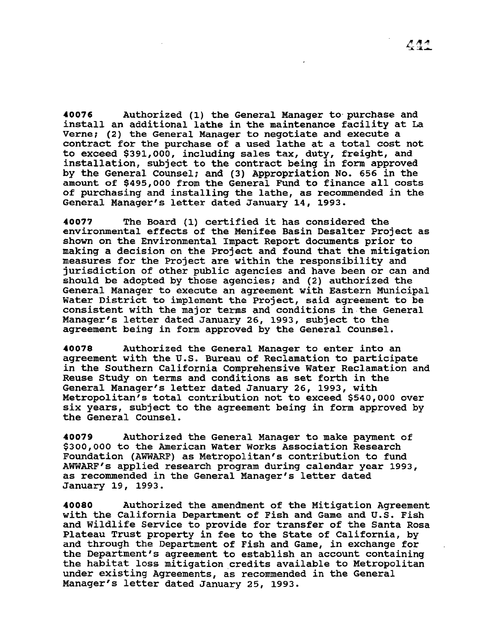**40076** Authorized (1) the General Manager to purchase and install an additional lathe in the maintenance facility at La Verne; (2) the General Manager to negotiate and execute a contract for the purchase of a used lathe at a total cost not to exceed \$391,000, including sales tax, duty, freight, and installation, subject to the contract being in form approved by the General Counsel; and (3) Appropriation No. 656 in the amount of \$495,000 from the General Fund to finance all costs of purchasing and installing the lathe, as recommended in the General Manager's letter dated January 14, 1993.

**<sup>40077</sup>**The Board (1) certified it has considered the environmental effects of the Menifee Basin Desalter Project as shown on the Environmental Impact Report documents prior to making a decision on the Project and found that the mitigation measures for the Project are within the responsibility and jurisdiction of other public agencies and have been or can and should be adopted by those agencies; and (2) authorized the General Manager to execute an agreement with Eastern Municipal Water District to implement the Project, said agreement to be consistent with the major terms and conditions in the General Manager's letter dated January 26, 1993, subject to the agreement being in form approved by the General Counsel.

**40078** Authorized the General Manager to enter into an agreement with the U.S. Bureau of Reclamation to participate in the Southern California Comprehensive water Reclamation and Reuse Study on terms and conditions as set forth in the General Manager's letter dated January 26, 1993, with Metropolitan's total contribution not to exceed \$540,000 over six years, subject to the agreement being in form approved by the General counsel.

**40079** Authorized the General Manager to make payment of \$300,000 to the American Water Works Association Research Foundation (AWWARF) as Metropolitan's contribution to fund AWWARF's applied research program during calendar year 1993, as recommended in the General Manager's letter dated January 19, 1993.

**40080** Authorized the amendment of the Mitigation Agreement with the California Department of Fish and Game and U.S. Fish and Wildlife Service to provide for transfer of the Santa Rosa Plateau Trust property in fee to the State of California, by and through the Department of Fish and Game, in exchange for the Department's agreement to establish an account containing the habitat loss mitigation credits available to Metropolitan under existing Agreements, as recommended in the General Manager's letter dated January 25, 1993.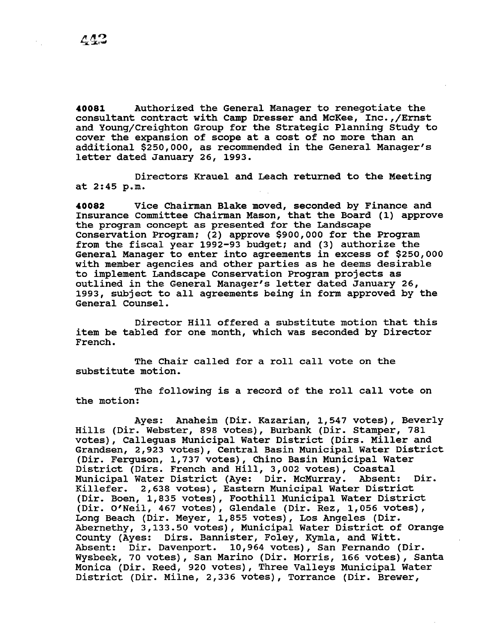**40081** Authorized the General Manager to renegotiate the consultant contract with Camp Dresser and McKee, Inc.,/Ernst and Young/Creighton Group for the Strategic Planning Study to cover the expansion of scope at a cost of no more than an additional \$250,000, as recommended in the General Manager's letter dated January 26, 1993.

Directors Krauel and Leach returned to the Meeting at 2:45 p.m.

**40082** Vice Chairman Blake moved, seconded by Finance and Insurance Committee Chairman Mason, that the Board (1) approve the program concept as presented for the Landscape Conservation Program; (2) approve \$900,000 for the Program from the fiscal year 1992-93 budget; and (3) authorize the General Manager to enter into agreements in excess of \$250,000 with member agencies and other parties as he deems desirable to implement Landscape Conservation Program projects as outlined in the General Manager's letter dated January 26, 1993, subject to all agreements being in form approved by the General Counsel.

Director Hill offered a substitute motion that this item be tabled for one month, which was seconded by Director French.

The Chair called for a roll call vote on the substitute motion.

The following is a record of the roll call vote on the motion:

Ayes: Anaheim (Dir. Kazarian, 1,547 votes), Beverly Hills (Dir. Webster, 898 votes), Burbank (Dir. Stamper, 781 votes), Calleguas Municipal Water District (Dirs. Miller and Grandsen, 2,923 votes), Central Basin Municipal Water District (Dir. Ferguson, 1,737 votes), Chino Basin Municipal water District (Dirs. French and Hill, 3,002 votes), Coastal Municipal Water District (Aye: Dir. McMurray. Absent: Dir. Killefer. 2,638 votes), Eastern Municipal Water District (Dir. Boen, 1,835 votes), Foothill Municipal Water District (Dir. O'Neil, 467 votes), Glendale (Dir. Rez, 1,056 votes), Long Beach (Dir. Meyer, 1,855 votes), Los Angeles (Dir. Abernethy, 3,133.50 votes), Municipal Water District of Orange County (Ayes: Dirs. Bannister, Foley, Kymla, and Witt. Absent: Dir. Davenport. 10,964 votes), San Fernando (Dir. Wysbeek, 70 votes), San Marino (Dir. Morris, 166 votes), Santa Monica (Dir. Reed, 920 votes), Three Valleys Municipal Water District (Dir. Milne, 2,336 votes), Torrance (Dir. Brewer,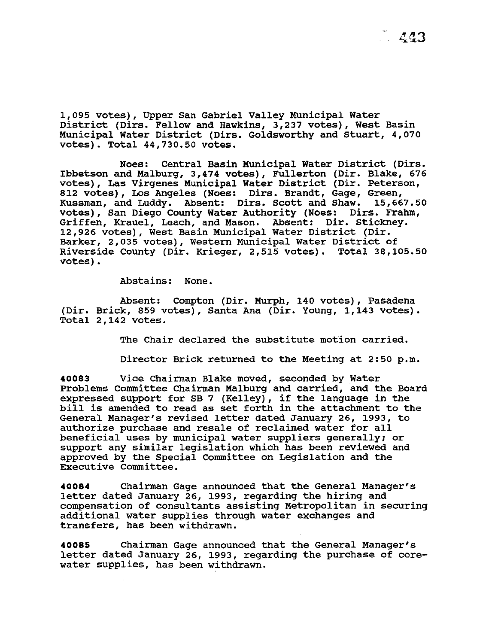1,095 votes), Upper San Gabriel Valley Municipal Water District (Dirs. Fellow and Hawkins, 3,237 votes), West Basin Municipal Water District (Dirs. Goldsworthy and stuart, 4,070 votes). Total 44,730.50 votes.

Noes: Central Basin Municipal Water District (Dirs. Ibbetson and Malburg, 3,474 votes), Fullerton (Dir. Blake, 676 votes), Las Virgenes Municipal Water District (Dir. Peterson, 812 votes), Los Angeles (Noes: Dirs. Brandt, Gage, Green,<br>Kussman, and Luddy. Absent: Dirs. Scott and Shaw. 15,667.50 Kussman, and Luddy. Absent: Dirs. Scott and Shaw. votes), San Diego County Water Authority (Noes: Dirs. Frahm, Griffen, Krauel, Leach, and Mason. Absent: Dir. Stickney. 12,926 votes), West Basin Municipal Water District (Dir. Barker, 2,035 votes), Western Municipal Water District of Riverside County (Dir. Krieger, 2,515 votes). Total 38,105.50 votes).

Abstains: None.

Absent: Compton (Dir. Murph, 140 votes), Pasadena (Dir. Brick, 859 votes), Santa Ana (Dir. Young, 1,143 votes). Total 2,142 votes.

The Chair declared the substitute motion carried.

Director Brick returned to the Meeting at 2:50 p.m.

**40083** Vice Chairman Blake moved, seconded by Water Problems Committee Chairman Malburg and carried, and the Board expressed support for SB 7 (Kelley), if the language in the bill is amended to read as set forth in the attachment to the General Manager's revised letter dated January 26, 1993, to authorize purchase and resale of reclaimed water for all beneficial uses by municipal water suppliers generally; or support any similar legislation which has been reviewed and approved by the Special Committee on Legislation and the Executive Committee.

**40084** Chairman Gage announced that the General Manager's letter dated January 26, 1993, regarding the hiring and compensation of consultants assisting Metropolitan in securing additional water supplies through water exchanges and transfers, has been withdrawn.

**40085** Chairman Gage announced that the General Manager's letter dated January 26, 1993, regarding the purchase of corewater supplies, has been withdrawn.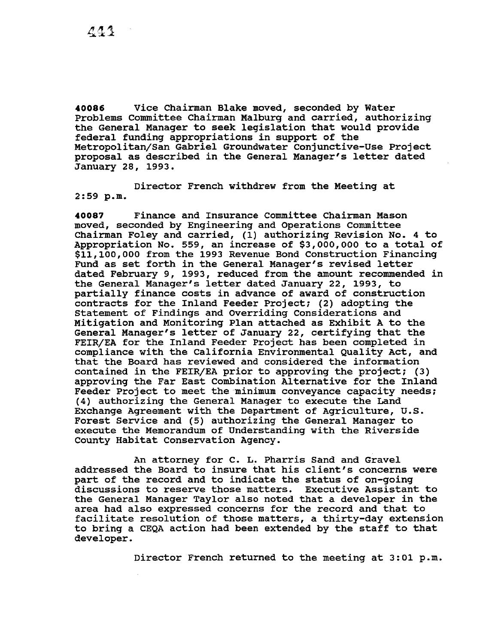**40086** Vice Chairman Blake moved, seconded by Water Problems Committee Chairman Malburg and carried, authorizing the General Manager to seek legislation that would provide federal funding appropriations in support of the Metropolitan/San Gabriel Groundwater Conjunctive-Use Project proposal as described in the General Manager's letter dated January 28, 1993.

Director French withdrew from the Meeting at 2:59 p.m.

**40087** Finance and Insurance Committee Chairman Mason moved, seconded by Engineering and Operations Committee Chairman Foley and carried, (1) authorizing Revision No. 4 to Appropriation No. 559, an increase of \$3,000,000 to a total of \$11,100,000 from the 1993 Revenue Bond Construction Financing Fund as set forth in the General Manager's revised letter dated February 9, 1993, reduced from the amount recommended in the General Manager's letter dated January 22, 1993, to partially finance costs in advance of award of construction contracts for the Inland Feeder Project; (2) adopting the statement of Findings and Overriding Considerations and Mitigation and Monitoring Plan attached as Exhibit A to the General Manager's letter of January 22, certifying that the FEIR/EA for the Inland Feeder Project has been completed in compliance with the California Environmental Quality Act, and that the Board has reviewed and considered the information contained in the FEIR/EA prior to approving the project; (3) approving the Far East Combination Alternative for the Inland Feeder Project to meet the minimum conveyance capacity needs; (4) authorizing the General Manager to execute the Land Exchange Agreement with the Department of Agriculture, U.S. Forest Service and (5) authorizing the General Manager to execute the Memorandum of Understanding with the Riverside County Habitat Conservation Agency.

An attorney for c. L. Pharris Sand and Gravel addressed the Board to insure that his client's concerns were part of the record and to indicate the status of on-going discussions to reserve those matters. Executive Assistant to the General Manager Taylor also noted that a developer in the area had also expressed concerns for the record and that to facilitate resolution of those matters, a thirty-day extension to bring a CEQA action had been extended by the staff to that developer.

Director French returned to the meeting at 3:01 p.m.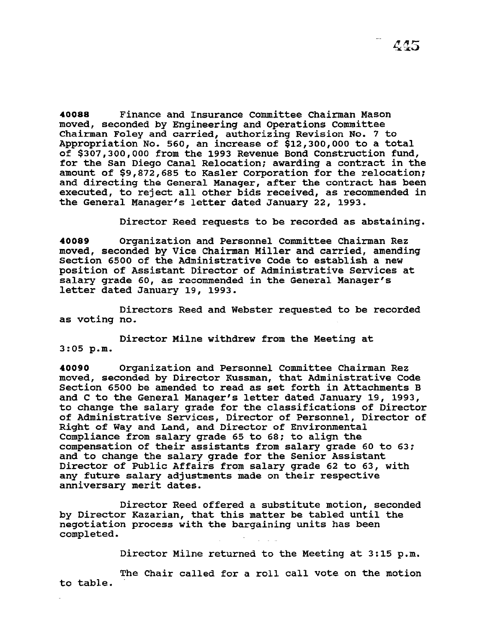**40088** Finance and Insurance Committee Chairman Mason moved, seconded by Engineering and Operations Committee Chairman Foley and carried, authorizing Revision No. 7 to Appropriation No. 560, an increase of \$12,300,000 to a total of \$307,300,000 from the 1993 Revenue Bond Construction fund, for the san Diego Canal Relocation; awarding a contract in the amount of \$9,872,685 to Kasler Corporation for the relocation; and directing the General Manager, after the contract has been executed, to reject all other bids received, as recommended in the General Manager's letter dated January 22, 1993.

Director Reed requests to be recorded as abstaining.

**40089** Organization and Personnel Committee Chairman Rez moved, seconded by Vice Chairman Miller and carried, amending Section 6500 of the Administrative Code to establish a new position of Assistant Director of Administrative Services at salary grade 60, as recommended in the General Manager's letter dated January 19, 1993.

Directors Reed and Webster requested to be recorded as voting no.

Director Milne withdrew from the Meeting at 3:05 p.m.

**40090** Organization and Personnel Committee Chairman Rez moved, seconded by Director Kussman, that Administrative Code Section 6500 be amended to read as set forth in Attachments B and c to the General Manager's letter dated January 19, 1993, to change the salary grade for the classifications of Director of Administrative Services, Director of Personnel, Director of Right of Way and Land, and Director of Environmental Compliance from salary grade 65 to 68; to align the compensation of their assistants from salary grade 60 to 63; and to change the salary grade for the Senior Assistant Director of Public Affairs from salary grade 62 to 63, with any future salary adjustments made on their respective anniversary merit dates.

Director Reed offered a substitute motion, seconded by Director Kazarian, that this matter be tabled until the negotiation process with the bargaining units has been completed.

Director Milne returned to the Meeting at 3:15 p.m.

to table. The Chair called for a roll call vote on the motion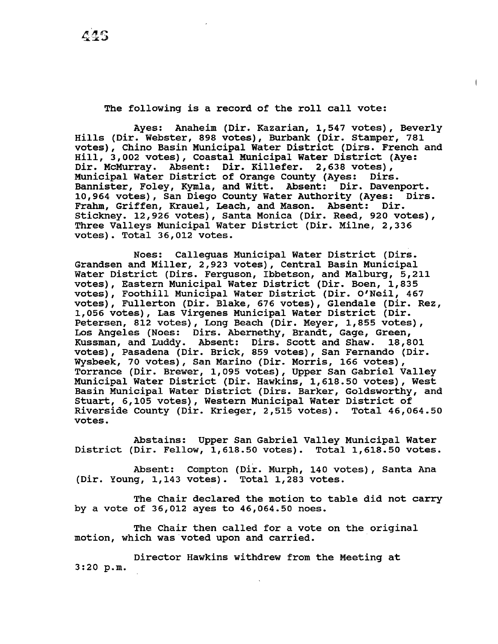# The following is a record of the roll call vote:

Ayes: Anaheim (Dir. Kazarian, 1,547 votes), Beverly Hills (Dir. Webster, 898 votes), Burbank (Dir. stamper, 781 votes), Chino Basin Municipal Water District (Dirs. French and Hill, 3,002 votes), Coastal Municipal Water District (Aye: Dir. McMurray. Absent: Dir. Killefer. 2,638 votes),<br>Municipal Water District of Orange County (Aves: Dirs. Municipal Water District of Orange County (Ayes: Bannister, Foley, Kymla, and Witt. Absent: Dir. Davenport. 10,964 votes), San Diego County water Authority (Ayes: Dirs. Frahm, Griffen, Krauel, Leach, and Mason. Absent: Dir. Stickney. 12,926 votes), Santa Monica (Dir. Reed, 920 votes), Three Valleys Municipal Water District (Dir. Milne, 2,336 votes). Total 36,012 votes.

Noes: Calleguas Municipal Water District (Dirs. Grandsen and Miller, 2,923 votes), Central Basin Municipal Water District (Dirs. Ferguson, Ibbetson, and Malburg, 5,211 votes), Eastern Municipal Water District (Dir. Boen, 1,835 votes), Foothill Municipal water District (Dir. O'Neil, 467 votes), Fullerton (Dir. Blake, 676 votes), Glendale (Dir. Rez, 1,056 votes), Las Virgenes Municipal Water District (Dir. Petersen, 812 votes), Long Beach (Dir. Meyer, 1,855 votes), Los Angeles (Noes: Dirs. Abernethy, Brandt, Gage, Green,<br>Kussman, and Luddy. Absent: Dirs. Scott and Shaw. 18,801 Kussman, and Luddy. Absent: Dirs. Scott and Shaw. votes), Pasadena (Dir. Brick, 859 votes), San Fernando (Dir. Wysbeek, 70 votes), San Marino (Dir. Morris, 166 votes), Torrance (Dir. Brewer, 1,095 votes), Upper San Gabriel Valley Municipal Water District (Dir. Hawkins, 1,618.50 votes), West Basin Municipal Water District (Dirs. Barker, Goldsworthy, and stuart, 6,105 votes), Western Municipal Water District of Riverside County (Dir. Krieger, 2,515 votes). Total 46,064.50 votes.

Abstains: Upper San Gabriel Valley Municipal Water District (Dir. Fellow, 1,618.50 votes). Total 1,618.50 votes.

Absent: Compton (Dir. Murph, 140 votes), Santa Ana (Dir. Young, 1,143 votes). Total 1,283 votes.

The Chair declared the motion to table did not carry by a vote of 36,012 ayes to 46,064.50 noes.

The Chair then called for a vote on the original motion, which was voted upon and carried.

Director Hawkins withdrew from the Meeting at 3:20 p.m.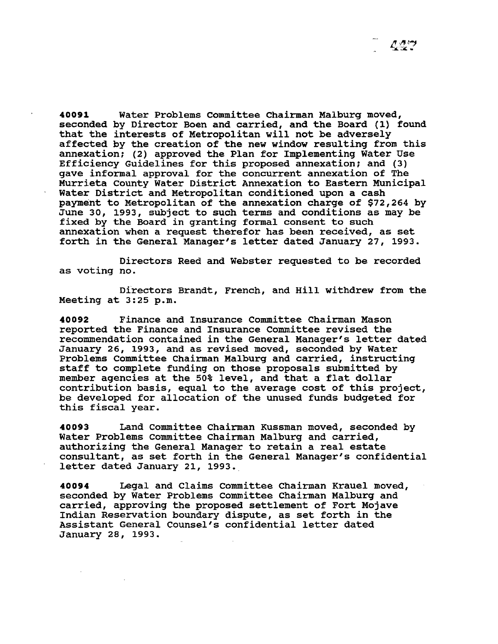**40091** Water Problems Committee Chairman Malburg moved, seconded by Director Boen and carried, and the Board (1) found that the interests of Metropolitan will not be adversely affected by the creation of the new window resulting from this annexation; (2) approved the Plan for Implementing Water Use Efficiency Guidelines for this proposed annexation; and (3) gave informal approval for the concurrent annexation of The Murrieta county Water District Annexation to Eastern Municipal Water District and Metropolitan conditioned upon a cash payment to Metropolitan of the annexation charge of \$72,264 by June 30, 1993, subject to such terms and conditions as may be fixed by the Board in granting formal consent to such annexation when a request therefor has been received, as set forth in the General Manager's letter dated January 27, 1993.

Directors Reed and Webster requested to be recorded as voting no.

Directors Brandt, French, and Hill withdrew from the Meeting at 3:25 p.m.

**40092** Finance and Insurance Committee Chairman Mason reported the Finance and Insurance Committee revised the recommendation contained in the General Manager's letter dated January 26, 1993, and as revised moved, seconded by Water Problems Committee Chairman Malburg and carried, instructing staff to complete funding on those proposals submitted by member agencies at the 50% level, and that a flat dollar contribution basis, equal to the average cost of this project, be developed for allocation of the unused funds budgeted for this fiscal year.

**40093** Land Committee Chairman Kussman moved, seconded by Water Problems committee Chairman Malburg and carried, authorizing the General Manager to retain a real estate consultant, as set forth in the General Manager's confidential letter dated January 21, 1993.

**40094** Legal and Claims Committee Chairman Krauel moved, seconded by water Problems committee Chairman Malburg and carried, approving the proposed settlement of Fort Mojave Indian Reservation boundary dispute, as set forth in the Assistant General Counsel's confidential letter dated January 28, 1993.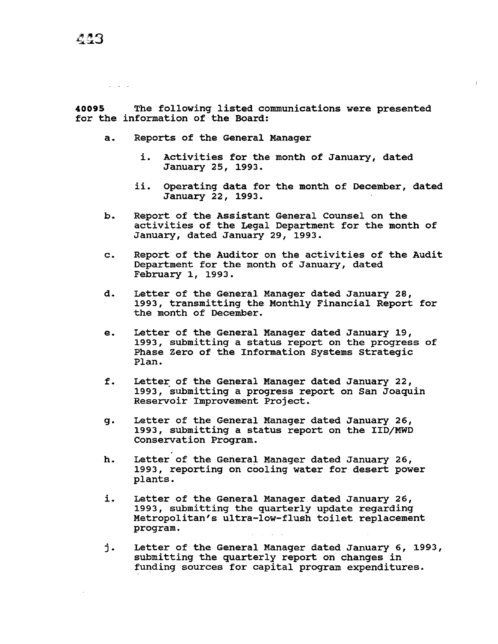**40095** The following listed communications were presented for the information of the Board:

- a. Reports of the General Manager
	- i. Activities for the month of January, dated January 25, 1993.
	- ii. Operating data for the month of December, dated January 22, 1993.
- b. Report of the Assistant General Counsel on the activities of the Legal Department for the month of January, dated January 29, 1993.
- c. Report of the Auditor on the activities of the Audit Department for the month of January, dated February 1, 1993.
- d. Letter of the General Manager dated January 28, 1993, transmitting the Monthly Financial Report for the month of December.
- e. Letter of the General Manager dated January 19, 1993, submitting a status report on the progress of Phase Zero of the Information Systems Strategic Plan.
- f. Letter of the General Manager dated January 22, 1993, submitting a progress report on San Joaquin Reservoir Improvement Project.
- g. Letter of the General Manager dated January 26, 1993, submitting a status report on the IID/MWD Conservation Program.
- h. Letter of the General Manager dated January 26, 1993, reporting on cooling water for desert power plants.
- i. Letter of the General Manager dated January 26, 1993, submitting the quarterly update regarding Metropolitan's ultra-low-flush toilet replacement program.
- j. Letter of the General Manager dated January 6, 1993, submitting the quarterly report on changes in funding sources for capital program expenditures.